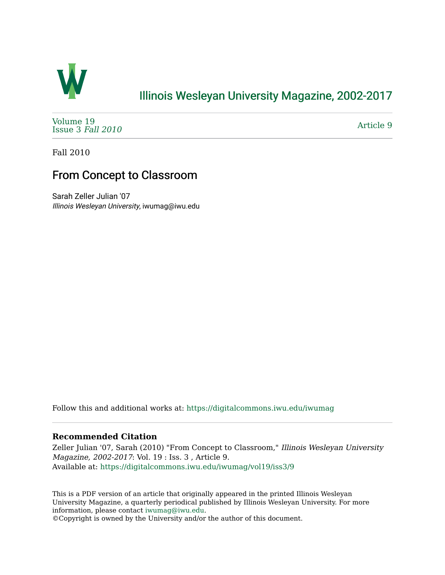

## [Illinois Wesleyan University Magazine, 2002-2017](https://digitalcommons.iwu.edu/iwumag)

[Volume 19](https://digitalcommons.iwu.edu/iwumag/vol19)  [Issue 3](https://digitalcommons.iwu.edu/iwumag/vol19/iss3) Fall 2010

[Article 9](https://digitalcommons.iwu.edu/iwumag/vol19/iss3/9) 

Fall 2010

# From Concept to Classroom

Sarah Zeller Julian '07 Illinois Wesleyan University, iwumag@iwu.edu

Follow this and additional works at: [https://digitalcommons.iwu.edu/iwumag](https://digitalcommons.iwu.edu/iwumag?utm_source=digitalcommons.iwu.edu%2Fiwumag%2Fvol19%2Fiss3%2F9&utm_medium=PDF&utm_campaign=PDFCoverPages) 

#### **Recommended Citation**

Zeller Julian '07, Sarah (2010) "From Concept to Classroom," Illinois Wesleyan University Magazine, 2002-2017: Vol. 19 : Iss. 3 , Article 9. Available at: [https://digitalcommons.iwu.edu/iwumag/vol19/iss3/9](https://digitalcommons.iwu.edu/iwumag/vol19/iss3/9?utm_source=digitalcommons.iwu.edu%2Fiwumag%2Fvol19%2Fiss3%2F9&utm_medium=PDF&utm_campaign=PDFCoverPages)

This is a PDF version of an article that originally appeared in the printed Illinois Wesleyan University Magazine, a quarterly periodical published by Illinois Wesleyan University. For more information, please contact [iwumag@iwu.edu](mailto:iwumag@iwu.edu).

©Copyright is owned by the University and/or the author of this document.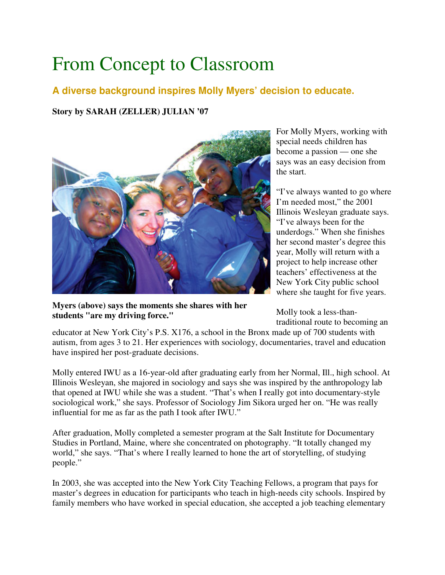# From Concept to Classroom

## **A diverse background inspires Molly Myers' decision to educate.**

### **Story by SARAH (ZELLER) JULIAN '07**



**Myers (above) says the moments she shares with her students "are my driving force."**

For Molly Myers, working with special needs children has become a passion — one she says was an easy decision from the start.

"I've always wanted to go where I'm needed most," the 2001 Illinois Wesleyan graduate says. "I've always been for the underdogs." When she finishes her second master's degree this year, Molly will return with a project to help increase other teachers' effectiveness at the New York City public school where she taught for five years.

Molly took a less-thantraditional route to becoming an

educator at New York City's P.S. X176, a school in the Bronx made up of 700 students with autism, from ages 3 to 21. Her experiences with sociology, documentaries, travel and education have inspired her post-graduate decisions.

Molly entered IWU as a 16-year-old after graduating early from her Normal, Ill., high school. At Illinois Wesleyan, she majored in sociology and says she was inspired by the anthropology lab that opened at IWU while she was a student. "That's when I really got into documentary-style sociological work," she says. Professor of Sociology Jim Sikora urged her on. "He was really influential for me as far as the path I took after IWU."

After graduation, Molly completed a semester program at the Salt Institute for Documentary Studies in Portland, Maine, where she concentrated on photography. "It totally changed my world," she says. "That's where I really learned to hone the art of storytelling, of studying people."

In 2003, she was accepted into the New York City Teaching Fellows, a program that pays for master's degrees in education for participants who teach in high-needs city schools. Inspired by family members who have worked in special education, she accepted a job teaching elementary